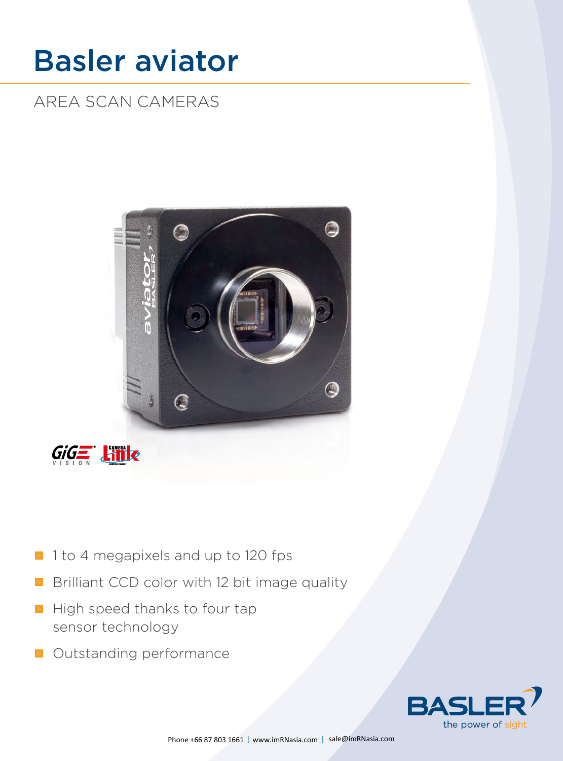# Basler aviator

# AREA SCAN CAMERAS





- 1 1 to 4 megapixels and up to 120 fps
- Brilliant CCD color with 12 bit image quality
- High speed thanks to four tap sensor technology
- **Outstanding performance**

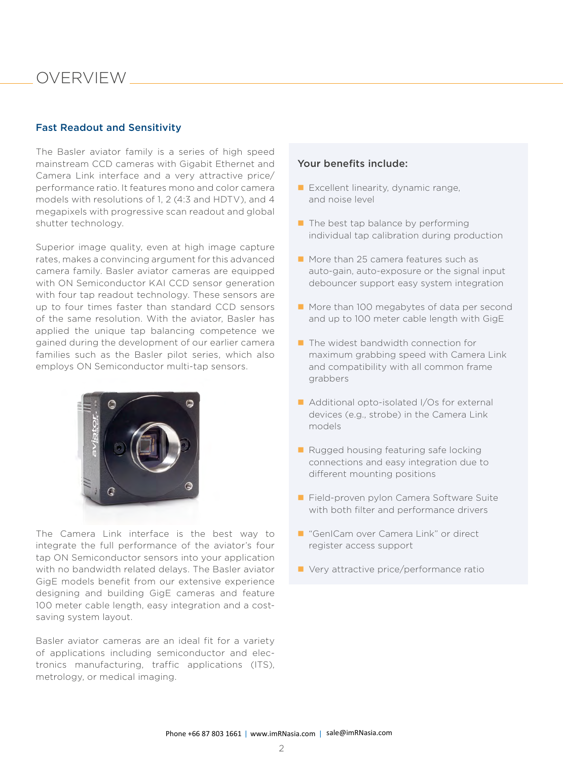# OVERVIEW

#### Fast Readout and Sensitivity

The Basler aviator family is a series of high speed mainstream CCD cameras with Gigabit Ethernet and Camera Link interface and a very attractive price/ performance ratio. It features mono and color camera models with resolutions of 1, 2 (4:3 and HDTV), and 4 megapixels with progressive scan readout and global shutter technology.

Superior image quality, even at high image capture rates, makes a convincing argument for this advanced camera family. Basler aviator cameras are equipped with ON Semiconductor KAI CCD sensor generation with four tap readout technology. These sensors are up to four times faster than standard CCD sensors of the same resolution. With the aviator, Basler has applied the unique tap balancing competence we gained during the development of our earlier camera families such as the Basler pilot series, which also employs ON Semiconductor multi-tap sensors.



The Camera Link interface is the best way to integrate the full performance of the aviator's four tap ON Semiconductor sensors into your application with no bandwidth related delays. The Basler aviator GigE models benefit from our extensive experience designing and building GigE cameras and feature 100 meter cable length, easy integration and a costsaving system layout.

Basler aviator cameras are an ideal fit for a variety of applications including semiconductor and electronics manufacturing, traffic applications (ITS), metrology, or medical imaging.

#### Your benefits include:

- **Excellent linearity, dynamic range,** and noise level
- $\blacksquare$  The best tap balance by performing individual tap calibration during production
- **More than 25 camera features such as** auto-gain, auto-exposure or the signal input debouncer support easy system integration
- More than 100 megabytes of data per second and up to 100 meter cable length with GigE
- $\blacksquare$  The widest bandwidth connection for maximum grabbing speed with Camera Link and compatibility with all common frame grabbers
- Additional opto-isolated I/Os for external devices (e.g., strobe) in the Camera Link models
- Rugged housing featuring safe locking connections and easy integration due to different mounting positions
- Field-proven pylon Camera Software Suite with both filter and performance drivers
- "GenICam over Camera Link" or direct register access support
- Very attractive price/performance ratio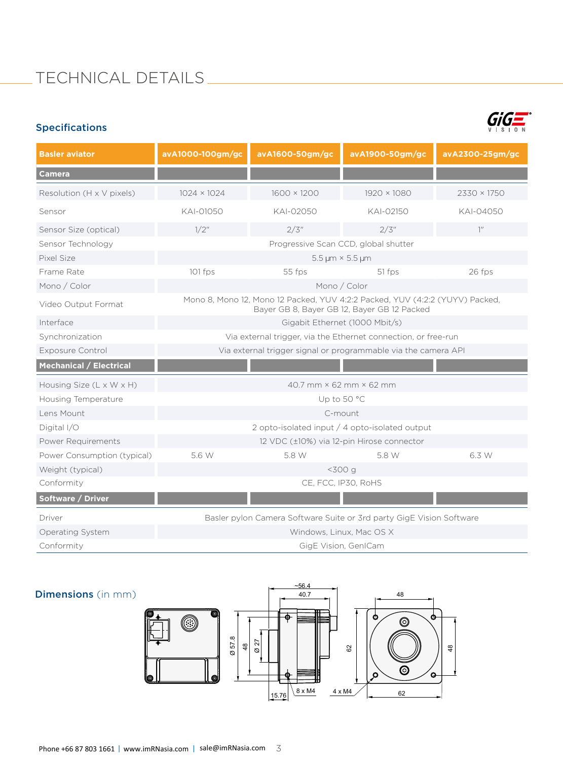# TECHNICAL DETAILS

### Specifications



| <b>Basler aviator</b>                | avA1000-100gm/gc                                                                                                            | avA1600-50gm/gc    | avA1900-50gm/gc | avA2300-25gm/gc    |  |  |
|--------------------------------------|-----------------------------------------------------------------------------------------------------------------------------|--------------------|-----------------|--------------------|--|--|
| <b>Camera</b>                        |                                                                                                                             |                    |                 |                    |  |  |
| Resolution (H x V pixels)            | $1024 \times 1024$                                                                                                          | $1600 \times 1200$ | 1920 × 1080     | $2330 \times 1750$ |  |  |
| Sensor                               | KAI-01050                                                                                                                   | KAI-02050          | KAI-02150       | KAI-04050          |  |  |
| Sensor Size (optical)                | 1/2"                                                                                                                        | 2/3"               | 2/3"            | $1^{\prime\prime}$ |  |  |
| Sensor Technology                    | Progressive Scan CCD, global shutter                                                                                        |                    |                 |                    |  |  |
| Pixel Size                           | 5.5 µm × 5.5 µm                                                                                                             |                    |                 |                    |  |  |
| Frame Rate                           | 101 fps                                                                                                                     | 55 fps             | 51 fps          | 26 fps             |  |  |
| Mono / Color                         | Mono / Color                                                                                                                |                    |                 |                    |  |  |
| Video Output Format                  | Mono 8, Mono 12, Mono 12 Packed, YUV 4:2:2 Packed, YUV (4:2:2 (YUYV) Packed,<br>Bayer GB 8, Bayer GB 12, Bayer GB 12 Packed |                    |                 |                    |  |  |
| Interface                            | Gigabit Ethernet (1000 Mbit/s)                                                                                              |                    |                 |                    |  |  |
| Synchronization                      | Via external trigger, via the Ethernet connection, or free-run                                                              |                    |                 |                    |  |  |
| <b>Exposure Control</b>              | Via external trigger signal or programmable via the camera API                                                              |                    |                 |                    |  |  |
| <b>Mechanical / Electrical</b>       |                                                                                                                             |                    |                 |                    |  |  |
| Housing Size $(L \times W \times H)$ | $40.7$ mm $\times$ 62 mm $\times$ 62 mm                                                                                     |                    |                 |                    |  |  |
| Housing Temperature                  | Up to 50 °C                                                                                                                 |                    |                 |                    |  |  |
| Lens Mount                           | C-mount                                                                                                                     |                    |                 |                    |  |  |
| Digital I/O                          | 2 opto-isolated input / 4 opto-isolated output                                                                              |                    |                 |                    |  |  |
| Power Requirements                   | 12 VDC (±10%) via 12-pin Hirose connector                                                                                   |                    |                 |                    |  |  |
| Power Consumption (typical)          | 5.6 W                                                                                                                       | 5.8 W              | 5.8 W           | 6.3 W              |  |  |
| Weight (typical)                     | $<$ 300 $q$                                                                                                                 |                    |                 |                    |  |  |
| Conformity                           | CE, FCC, IP30, RoHS                                                                                                         |                    |                 |                    |  |  |
| <b>Software / Driver</b>             |                                                                                                                             |                    |                 |                    |  |  |
| Driver                               | Basler pylon Camera Software Suite or 3rd party GigE Vision Software                                                        |                    |                 |                    |  |  |
| Operating System                     | Windows, Linux, Mac OS X                                                                                                    |                    |                 |                    |  |  |
| Conformity                           | GigE Vision, GenICam                                                                                                        |                    |                 |                    |  |  |

### **Dimensions** (in mm)

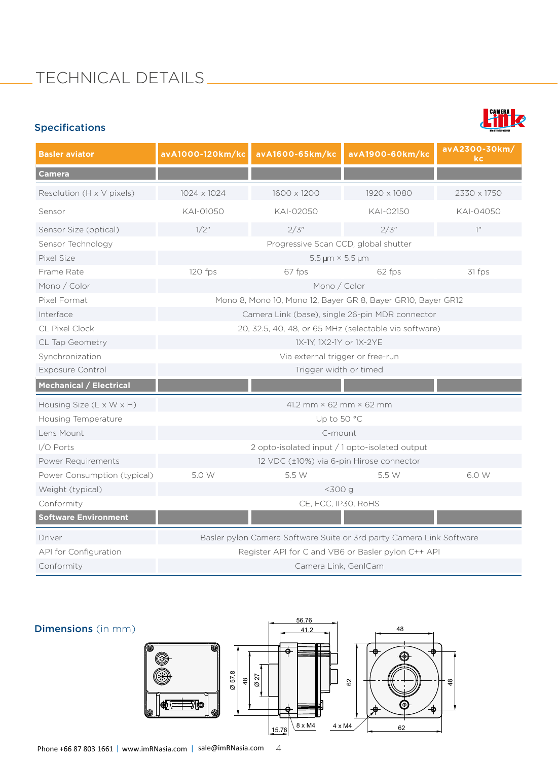# TECHNICAL DETAILS \_\_\_\_\_\_\_\_\_\_\_\_\_\_\_\_\_

## Specifications



| <b>Basler aviator</b>          | avA1000-120km/kc                                                     | avA1600-65km/kc | avA1900-60km/kc | avA2300-30km/<br>kc. |  |  |
|--------------------------------|----------------------------------------------------------------------|-----------------|-----------------|----------------------|--|--|
| <b>Camera</b>                  |                                                                      |                 |                 |                      |  |  |
| Resolution (H x V pixels)      | 1024 x 1024                                                          | 1600 x 1200     | 1920 x 1080     | 2330 x 1750          |  |  |
| Sensor                         | KAI-01050                                                            | KAI-02050       | KAI-02150       | KAI-04050            |  |  |
| Sensor Size (optical)          | $1/2$ "                                                              | 2/3"            | 2/3"            | 1''                  |  |  |
| Sensor Technology              | Progressive Scan CCD, global shutter                                 |                 |                 |                      |  |  |
| Pixel Size                     | $5.5 \,\mathrm{\upmu m} \times 5.5 \,\mathrm{\upmu m}$               |                 |                 |                      |  |  |
| Frame Rate                     | 120 fps                                                              | 67 fps          | 62 fps          | 31 fps               |  |  |
| Mono / Color                   | Mono / Color                                                         |                 |                 |                      |  |  |
| Pixel Format                   | Mono 8, Mono 10, Mono 12, Bayer GR 8, Bayer GR10, Bayer GR12         |                 |                 |                      |  |  |
| Interface                      | Camera Link (base), single 26-pin MDR connector                      |                 |                 |                      |  |  |
| <b>CL Pixel Clock</b>          | 20, 32.5, 40, 48, or 65 MHz (selectable via software)                |                 |                 |                      |  |  |
| CL Tap Geometry                | 1X-1Y, 1X2-1Y or 1X-2YE                                              |                 |                 |                      |  |  |
| Synchronization                | Via external trigger or free-run                                     |                 |                 |                      |  |  |
| <b>Exposure Control</b>        | Trigger width or timed                                               |                 |                 |                      |  |  |
| <b>Mechanical / Electrical</b> |                                                                      |                 |                 |                      |  |  |
| Housing Size (L x W x H)       | 41.2 mm $\times$ 62 mm $\times$ 62 mm                                |                 |                 |                      |  |  |
| Housing Temperature            | Up to 50 °C                                                          |                 |                 |                      |  |  |
| Lens Mount                     | C-mount                                                              |                 |                 |                      |  |  |
| I/O Ports                      | 2 opto-isolated input / 1 opto-isolated output                       |                 |                 |                      |  |  |
| Power Requirements             | 12 VDC (±10%) via 6-pin Hirose connector                             |                 |                 |                      |  |  |
| Power Consumption (typical)    | 5.0 W                                                                | 5.5 W           | 5.5 W           | 6.0 W                |  |  |
| Weight (typical)               | $<$ 300 $g$                                                          |                 |                 |                      |  |  |
| Conformity                     | CE, FCC, IP30, RoHS                                                  |                 |                 |                      |  |  |
| <b>Software Environment</b>    |                                                                      |                 |                 |                      |  |  |
| Driver                         | Basler pylon Camera Software Suite or 3rd party Camera Link Software |                 |                 |                      |  |  |
| API for Configuration          | Register API for C and VB6 or Basler pylon C++ API                   |                 |                 |                      |  |  |
| Conformity                     | Camera Link, GenICam                                                 |                 |                 |                      |  |  |

### Dimensions (in mm)

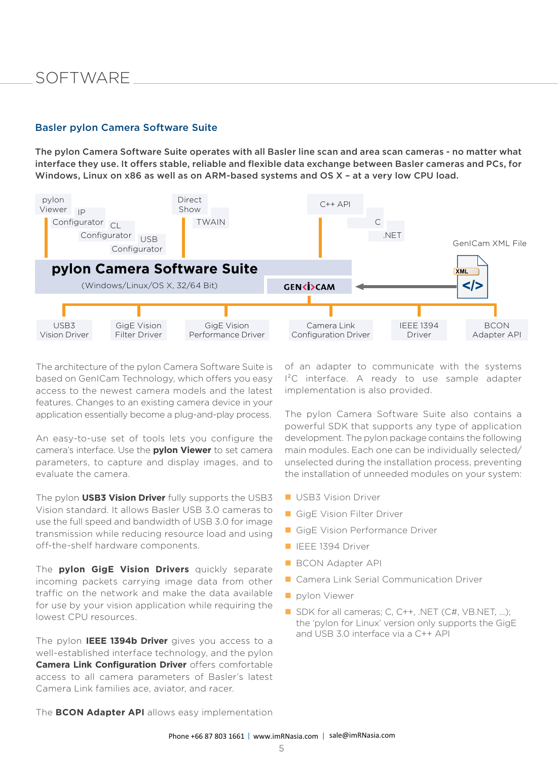# **SOFTWARE**

#### Basler pylon Camera Software Suite

The pylon Camera Software Suite operates with all Basler line scan and area scan cameras - no matter what interface they use. It offers stable, reliable and flexible data exchange between Basler cameras and PCs, for Windows, Linux on x86 as well as on ARM-based systems and OS X – at a very low CPU load.



The architecture of the pylon Camera Software Suite is based on GenICam Technology, which offers you easy access to the newest camera models and the latest features. Changes to an existing camera device in your application essentially become a plug-and-play process.

An easy-to-use set of tools lets you configure the camera's interface. Use the **pylon Viewer** to set camera parameters, to capture and display images, and to evaluate the camera.

The pylon **USB3 Vision Driver** fully supports the USB3 Vision standard. It allows Basler USB 3.0 cameras to use the full speed and bandwidth of USB 3.0 for image transmission while reducing resource load and using off-the-shelf hardware components.

The **pylon GigE Vision Drivers** quickly separate incoming packets carrying image data from other traffic on the network and make the data available for use by your vision application while requiring the lowest CPU resources.

The pylon **IEEE 1394b Driver** gives you access to a well-established interface technology, and the pylon **Camera Link Configuration Driver** offers comfortable access to all camera parameters of Basler's latest Camera Link families ace, aviator, and racer.

of an adapter to communicate with the systems I²C interface. A ready to use sample adapter implementation is also provided.

The pylon Camera Software Suite also contains a powerful SDK that supports any type of application development. The pylon package contains the following main modules. Each one can be individually selected/ unselected during the installation process, preventing the installation of unneeded modules on your system:

- **USB3 Vision Driver**
- GigE Vision Filter Driver
- GigE Vision Performance Driver
- **IEEE 1394 Driver**
- **BCON Adapter API**
- **Camera Link Serial Communication Driver**
- **pylon Viewer**
- SDK for all cameras; C, C++, .NET (C#, VB.NET, ...); the 'pylon for Linux' version only supports the GigE and USB 3.0 interface via a C++ API

The **BCON Adapter API** allows easy implementation